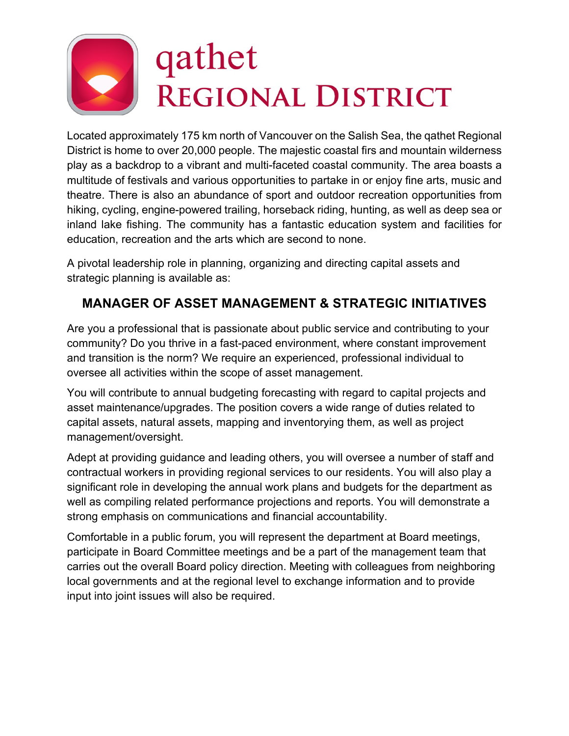# qathet REGIONAL DISTRICT

Located approximately 175 km north of Vancouver on the Salish Sea, the qathet Regional District is home to over 20,000 people. The majestic coastal firs and mountain wilderness play as a backdrop to a vibrant and multi-faceted coastal community. The area boasts a multitude of festivals and various opportunities to partake in or enjoy fine arts, music and theatre. There is also an abundance of sport and outdoor recreation opportunities from hiking, cycling, engine-powered trailing, horseback riding, hunting, as well as deep sea or inland lake fishing. The community has a fantastic education system and facilities for education, recreation and the arts which are second to none.

A pivotal leadership role in planning, organizing and directing capital assets and strategic planning is available as:

# **MANAGER OF ASSET MANAGEMENT & STRATEGIC INITIATIVES**

Are you a professional that is passionate about public service and contributing to your community? Do you thrive in a fast-paced environment, where constant improvement and transition is the norm? We require an experienced, professional individual to oversee all activities within the scope of asset management.

You will contribute to annual budgeting forecasting with regard to capital projects and asset maintenance/upgrades. The position covers a wide range of duties related to capital assets, natural assets, mapping and inventorying them, as well as project management/oversight.

Adept at providing guidance and leading others, you will oversee a number of staff and contractual workers in providing regional services to our residents. You will also play a significant role in developing the annual work plans and budgets for the department as well as compiling related performance projections and reports. You will demonstrate a strong emphasis on communications and financial accountability.

Comfortable in a public forum, you will represent the department at Board meetings, participate in Board Committee meetings and be a part of the management team that carries out the overall Board policy direction. Meeting with colleagues from neighboring local governments and at the regional level to exchange information and to provide input into joint issues will also be required.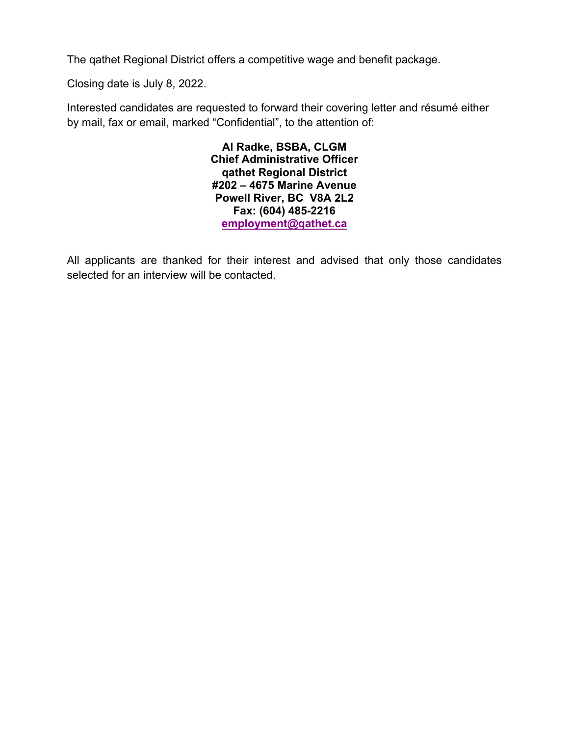The qathet Regional District offers a competitive wage and benefit package.

Closing date is July 8, 2022.

Interested candidates are requested to forward their covering letter and résumé either by mail, fax or email, marked "Confidential", to the attention of:

> **Al Radke, BSBA, CLGM Chief Administrative Officer qathet Regional District #202 – 4675 Marine Avenue Powell River, BC V8A 2L2 Fax: (604) 485-2216 employment@qathet.ca**

All applicants are thanked for their interest and advised that only those candidates selected for an interview will be contacted.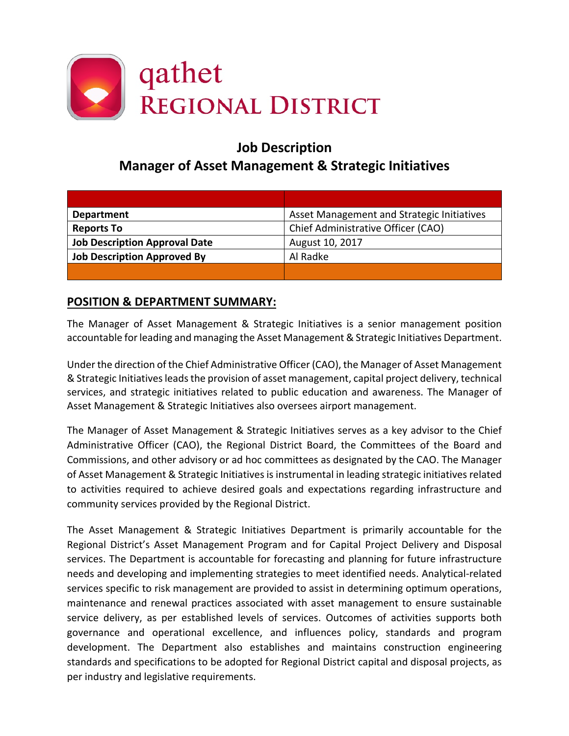

# **Job Description Manager of Asset Management & Strategic Initiatives**

| <b>Department</b>                    | Asset Management and Strategic Initiatives |
|--------------------------------------|--------------------------------------------|
| <b>Reports To</b>                    | Chief Administrative Officer (CAO)         |
| <b>Job Description Approval Date</b> | August 10, 2017                            |
| <b>Job Description Approved By</b>   | Al Radke                                   |
|                                      |                                            |

# **POSITION & DEPARTMENT SUMMARY:**

The Manager of Asset Management & Strategic Initiatives is a senior management position accountable for leading and managing the Asset Management & Strategic Initiatives Department.

Under the direction of the Chief Administrative Officer (CAO), the Manager of Asset Management & Strategic Initiatives leads the provision of asset management, capital project delivery, technical services, and strategic initiatives related to public education and awareness. The Manager of Asset Management & Strategic Initiatives also oversees airport management.

The Manager of Asset Management & Strategic Initiatives serves as a key advisor to the Chief Administrative Officer (CAO), the Regional District Board, the Committees of the Board and Commissions, and other advisory or ad hoc committees as designated by the CAO. The Manager of Asset Management & Strategic Initiatives is instrumental in leading strategic initiatives related to activities required to achieve desired goals and expectations regarding infrastructure and community services provided by the Regional District.

The Asset Management & Strategic Initiatives Department is primarily accountable for the Regional District's Asset Management Program and for Capital Project Delivery and Disposal services. The Department is accountable for forecasting and planning for future infrastructure needs and developing and implementing strategies to meet identified needs. Analytical-related services specific to risk management are provided to assist in determining optimum operations, maintenance and renewal practices associated with asset management to ensure sustainable service delivery, as per established levels of services. Outcomes of activities supports both governance and operational excellence, and influences policy, standards and program development. The Department also establishes and maintains construction engineering standards and specifications to be adopted for Regional District capital and disposal projects, as per industry and legislative requirements.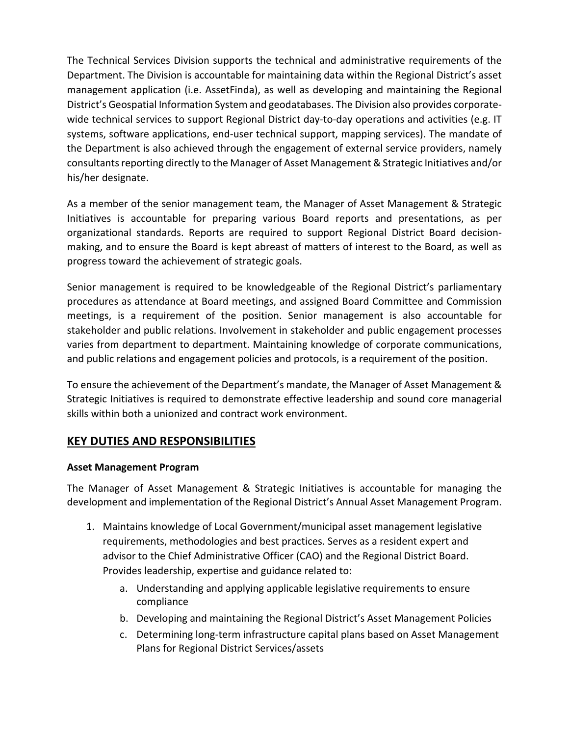The Technical Services Division supports the technical and administrative requirements of the Department. The Division is accountable for maintaining data within the Regional District's asset management application (i.e. AssetFinda), as well as developing and maintaining the Regional District's Geospatial Information System and geodatabases. The Division also provides corporatewide technical services to support Regional District day-to-day operations and activities (e.g. IT systems, software applications, end-user technical support, mapping services). The mandate of the Department is also achieved through the engagement of external service providers, namely consultants reporting directly to the Manager of Asset Management & Strategic Initiatives and/or his/her designate.

As a member of the senior management team, the Manager of Asset Management & Strategic Initiatives is accountable for preparing various Board reports and presentations, as per organizational standards. Reports are required to support Regional District Board decisionmaking, and to ensure the Board is kept abreast of matters of interest to the Board, as well as progress toward the achievement of strategic goals.

Senior management is required to be knowledgeable of the Regional District's parliamentary procedures as attendance at Board meetings, and assigned Board Committee and Commission meetings, is a requirement of the position. Senior management is also accountable for stakeholder and public relations. Involvement in stakeholder and public engagement processes varies from department to department. Maintaining knowledge of corporate communications, and public relations and engagement policies and protocols, is a requirement of the position.

To ensure the achievement of the Department's mandate, the Manager of Asset Management & Strategic Initiatives is required to demonstrate effective leadership and sound core managerial skills within both a unionized and contract work environment.

## **KEY DUTIES AND RESPONSIBILITIES**

#### **Asset Management Program**

The Manager of Asset Management & Strategic Initiatives is accountable for managing the development and implementation of the Regional District's Annual Asset Management Program.

- 1. Maintains knowledge of Local Government/municipal asset management legislative requirements, methodologies and best practices. Serves as a resident expert and advisor to the Chief Administrative Officer (CAO) and the Regional District Board. Provides leadership, expertise and guidance related to:
	- a. Understanding and applying applicable legislative requirements to ensure compliance
	- b. Developing and maintaining the Regional District's Asset Management Policies
	- c. Determining long-term infrastructure capital plans based on Asset Management Plans for Regional District Services/assets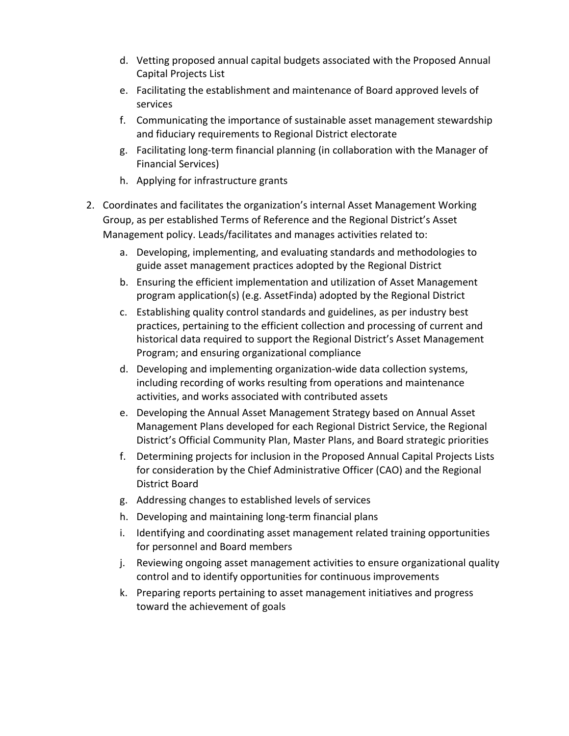- d. Vetting proposed annual capital budgets associated with the Proposed Annual Capital Projects List
- e. Facilitating the establishment and maintenance of Board approved levels of services
- f. Communicating the importance of sustainable asset management stewardship and fiduciary requirements to Regional District electorate
- g. Facilitating long-term financial planning (in collaboration with the Manager of Financial Services)
- h. Applying for infrastructure grants
- 2. Coordinates and facilitates the organization's internal Asset Management Working Group, as per established Terms of Reference and the Regional District's Asset Management policy. Leads/facilitates and manages activities related to:
	- a. Developing, implementing, and evaluating standards and methodologies to guide asset management practices adopted by the Regional District
	- b. Ensuring the efficient implementation and utilization of Asset Management program application(s) (e.g. AssetFinda) adopted by the Regional District
	- c. Establishing quality control standards and guidelines, as per industry best practices, pertaining to the efficient collection and processing of current and historical data required to support the Regional District's Asset Management Program; and ensuring organizational compliance
	- d. Developing and implementing organization-wide data collection systems, including recording of works resulting from operations and maintenance activities, and works associated with contributed assets
	- e. Developing the Annual Asset Management Strategy based on Annual Asset Management Plans developed for each Regional District Service, the Regional District's Official Community Plan, Master Plans, and Board strategic priorities
	- f. Determining projects for inclusion in the Proposed Annual Capital Projects Lists for consideration by the Chief Administrative Officer (CAO) and the Regional District Board
	- g. Addressing changes to established levels of services
	- h. Developing and maintaining long-term financial plans
	- i. Identifying and coordinating asset management related training opportunities for personnel and Board members
	- j. Reviewing ongoing asset management activities to ensure organizational quality control and to identify opportunities for continuous improvements
	- k. Preparing reports pertaining to asset management initiatives and progress toward the achievement of goals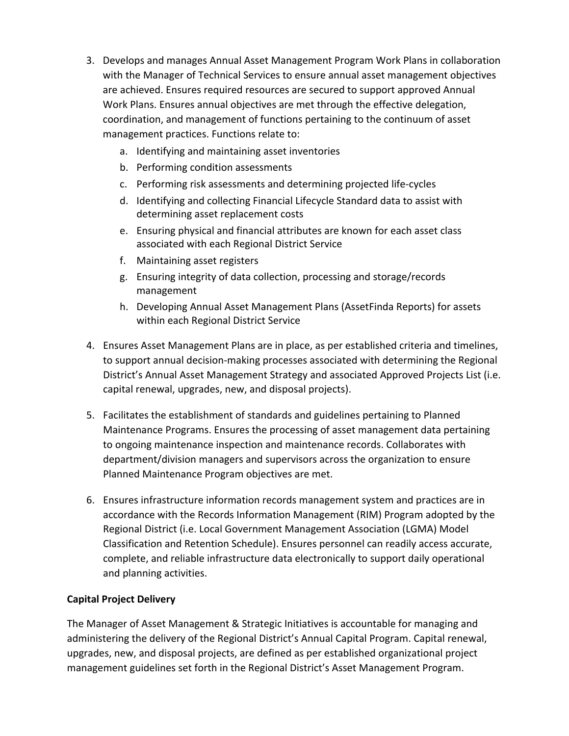- 3. Develops and manages Annual Asset Management Program Work Plans in collaboration with the Manager of Technical Services to ensure annual asset management objectives are achieved. Ensures required resources are secured to support approved Annual Work Plans. Ensures annual objectives are met through the effective delegation, coordination, and management of functions pertaining to the continuum of asset management practices. Functions relate to:
	- a. Identifying and maintaining asset inventories
	- b. Performing condition assessments
	- c. Performing risk assessments and determining projected life-cycles
	- d. Identifying and collecting Financial Lifecycle Standard data to assist with determining asset replacement costs
	- e. Ensuring physical and financial attributes are known for each asset class associated with each Regional District Service
	- f. Maintaining asset registers
	- g. Ensuring integrity of data collection, processing and storage/records management
	- h. Developing Annual Asset Management Plans (AssetFinda Reports) for assets within each Regional District Service
- 4. Ensures Asset Management Plans are in place, as per established criteria and timelines, to support annual decision-making processes associated with determining the Regional District's Annual Asset Management Strategy and associated Approved Projects List (i.e. capital renewal, upgrades, new, and disposal projects).
- 5. Facilitates the establishment of standards and guidelines pertaining to Planned Maintenance Programs. Ensures the processing of asset management data pertaining to ongoing maintenance inspection and maintenance records. Collaborates with department/division managers and supervisors across the organization to ensure Planned Maintenance Program objectives are met.
- 6. Ensures infrastructure information records management system and practices are in accordance with the Records Information Management (RIM) Program adopted by the Regional District (i.e. Local Government Management Association (LGMA) Model Classification and Retention Schedule). Ensures personnel can readily access accurate, complete, and reliable infrastructure data electronically to support daily operational and planning activities.

#### **Capital Project Delivery**

The Manager of Asset Management & Strategic Initiatives is accountable for managing and administering the delivery of the Regional District's Annual Capital Program. Capital renewal, upgrades, new, and disposal projects, are defined as per established organizational project management guidelines set forth in the Regional District's Asset Management Program.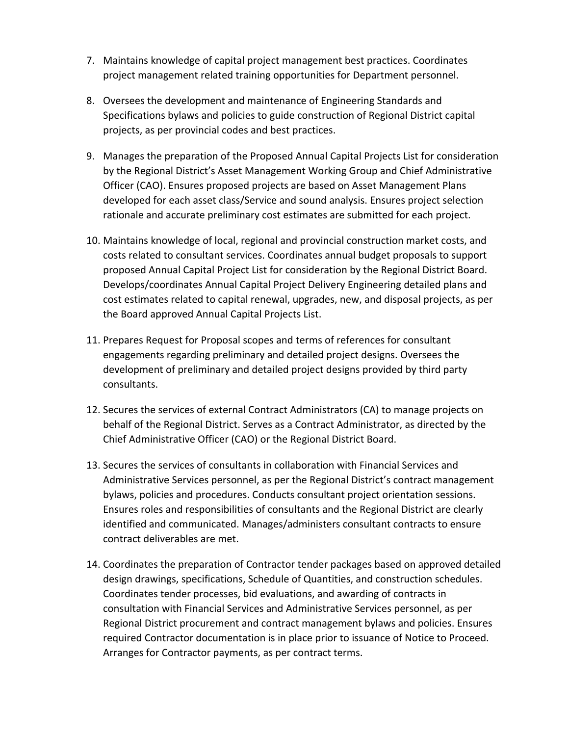- 7. Maintains knowledge of capital project management best practices. Coordinates project management related training opportunities for Department personnel.
- 8. Oversees the development and maintenance of Engineering Standards and Specifications bylaws and policies to guide construction of Regional District capital projects, as per provincial codes and best practices.
- 9. Manages the preparation of the Proposed Annual Capital Projects List for consideration by the Regional District's Asset Management Working Group and Chief Administrative Officer (CAO). Ensures proposed projects are based on Asset Management Plans developed for each asset class/Service and sound analysis. Ensures project selection rationale and accurate preliminary cost estimates are submitted for each project.
- 10. Maintains knowledge of local, regional and provincial construction market costs, and costs related to consultant services. Coordinates annual budget proposals to support proposed Annual Capital Project List for consideration by the Regional District Board. Develops/coordinates Annual Capital Project Delivery Engineering detailed plans and cost estimates related to capital renewal, upgrades, new, and disposal projects, as per the Board approved Annual Capital Projects List.
- 11. Prepares Request for Proposal scopes and terms of references for consultant engagements regarding preliminary and detailed project designs. Oversees the development of preliminary and detailed project designs provided by third party consultants.
- 12. Secures the services of external Contract Administrators (CA) to manage projects on behalf of the Regional District. Serves as a Contract Administrator, as directed by the Chief Administrative Officer (CAO) or the Regional District Board.
- 13. Secures the services of consultants in collaboration with Financial Services and Administrative Services personnel, as per the Regional District's contract management bylaws, policies and procedures. Conducts consultant project orientation sessions. Ensures roles and responsibilities of consultants and the Regional District are clearly identified and communicated. Manages/administers consultant contracts to ensure contract deliverables are met.
- 14. Coordinates the preparation of Contractor tender packages based on approved detailed design drawings, specifications, Schedule of Quantities, and construction schedules. Coordinates tender processes, bid evaluations, and awarding of contracts in consultation with Financial Services and Administrative Services personnel, as per Regional District procurement and contract management bylaws and policies. Ensures required Contractor documentation is in place prior to issuance of Notice to Proceed. Arranges for Contractor payments, as per contract terms.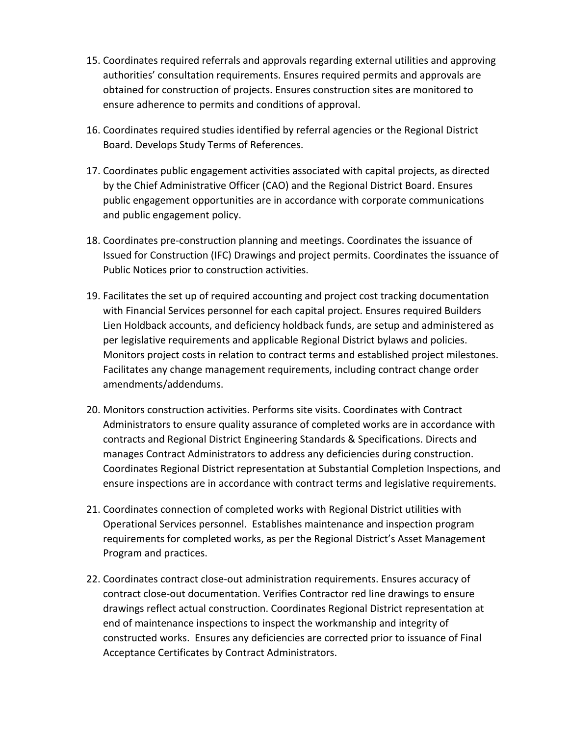- 15. Coordinates required referrals and approvals regarding external utilities and approving authorities' consultation requirements. Ensures required permits and approvals are obtained for construction of projects. Ensures construction sites are monitored to ensure adherence to permits and conditions of approval.
- 16. Coordinates required studies identified by referral agencies or the Regional District Board. Develops Study Terms of References.
- 17. Coordinates public engagement activities associated with capital projects, as directed by the Chief Administrative Officer (CAO) and the Regional District Board. Ensures public engagement opportunities are in accordance with corporate communications and public engagement policy.
- 18. Coordinates pre-construction planning and meetings. Coordinates the issuance of Issued for Construction (IFC) Drawings and project permits. Coordinates the issuance of Public Notices prior to construction activities.
- 19. Facilitates the set up of required accounting and project cost tracking documentation with Financial Services personnel for each capital project. Ensures required Builders Lien Holdback accounts, and deficiency holdback funds, are setup and administered as per legislative requirements and applicable Regional District bylaws and policies. Monitors project costs in relation to contract terms and established project milestones. Facilitates any change management requirements, including contract change order amendments/addendums.
- 20. Monitors construction activities. Performs site visits. Coordinates with Contract Administrators to ensure quality assurance of completed works are in accordance with contracts and Regional District Engineering Standards & Specifications. Directs and manages Contract Administrators to address any deficiencies during construction. Coordinates Regional District representation at Substantial Completion Inspections, and ensure inspections are in accordance with contract terms and legislative requirements.
- 21. Coordinates connection of completed works with Regional District utilities with Operational Services personnel. Establishes maintenance and inspection program requirements for completed works, as per the Regional District's Asset Management Program and practices.
- 22. Coordinates contract close-out administration requirements. Ensures accuracy of contract close-out documentation. Verifies Contractor red line drawings to ensure drawings reflect actual construction. Coordinates Regional District representation at end of maintenance inspections to inspect the workmanship and integrity of constructed works. Ensures any deficiencies are corrected prior to issuance of Final Acceptance Certificates by Contract Administrators.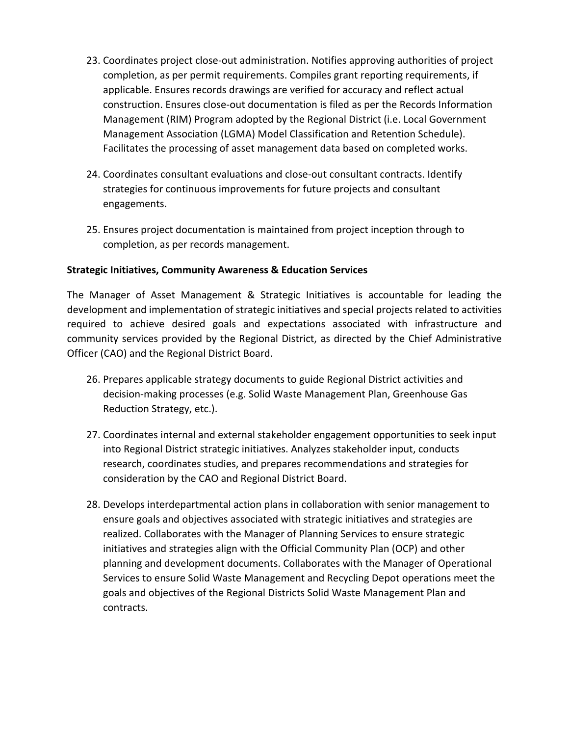- 23. Coordinates project close-out administration. Notifies approving authorities of project completion, as per permit requirements. Compiles grant reporting requirements, if applicable. Ensures records drawings are verified for accuracy and reflect actual construction. Ensures close-out documentation is filed as per the Records Information Management (RIM) Program adopted by the Regional District (i.e. Local Government Management Association (LGMA) Model Classification and Retention Schedule). Facilitates the processing of asset management data based on completed works.
- 24. Coordinates consultant evaluations and close-out consultant contracts. Identify strategies for continuous improvements for future projects and consultant engagements.
- 25. Ensures project documentation is maintained from project inception through to completion, as per records management.

#### **Strategic Initiatives, Community Awareness & Education Services**

The Manager of Asset Management & Strategic Initiatives is accountable for leading the development and implementation of strategic initiatives and special projects related to activities required to achieve desired goals and expectations associated with infrastructure and community services provided by the Regional District, as directed by the Chief Administrative Officer (CAO) and the Regional District Board.

- 26. Prepares applicable strategy documents to guide Regional District activities and decision-making processes (e.g. Solid Waste Management Plan, Greenhouse Gas Reduction Strategy, etc.).
- 27. Coordinates internal and external stakeholder engagement opportunities to seek input into Regional District strategic initiatives. Analyzes stakeholder input, conducts research, coordinates studies, and prepares recommendations and strategies for consideration by the CAO and Regional District Board.
- 28. Develops interdepartmental action plans in collaboration with senior management to ensure goals and objectives associated with strategic initiatives and strategies are realized. Collaborates with the Manager of Planning Services to ensure strategic initiatives and strategies align with the Official Community Plan (OCP) and other planning and development documents. Collaborates with the Manager of Operational Services to ensure Solid Waste Management and Recycling Depot operations meet the goals and objectives of the Regional Districts Solid Waste Management Plan and contracts.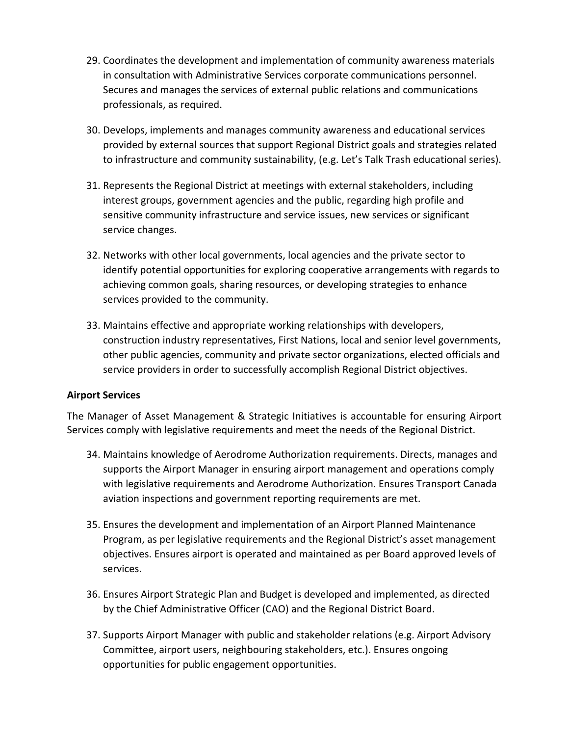- 29. Coordinates the development and implementation of community awareness materials in consultation with Administrative Services corporate communications personnel. Secures and manages the services of external public relations and communications professionals, as required.
- 30. Develops, implements and manages community awareness and educational services provided by external sources that support Regional District goals and strategies related to infrastructure and community sustainability, (e.g. Let's Talk Trash educational series).
- 31. Represents the Regional District at meetings with external stakeholders, including interest groups, government agencies and the public, regarding high profile and sensitive community infrastructure and service issues, new services or significant service changes.
- 32. Networks with other local governments, local agencies and the private sector to identify potential opportunities for exploring cooperative arrangements with regards to achieving common goals, sharing resources, or developing strategies to enhance services provided to the community.
- 33. Maintains effective and appropriate working relationships with developers, construction industry representatives, First Nations, local and senior level governments, other public agencies, community and private sector organizations, elected officials and service providers in order to successfully accomplish Regional District objectives.

#### **Airport Services**

The Manager of Asset Management & Strategic Initiatives is accountable for ensuring Airport Services comply with legislative requirements and meet the needs of the Regional District.

- 34. Maintains knowledge of Aerodrome Authorization requirements. Directs, manages and supports the Airport Manager in ensuring airport management and operations comply with legislative requirements and Aerodrome Authorization. Ensures Transport Canada aviation inspections and government reporting requirements are met.
- 35. Ensures the development and implementation of an Airport Planned Maintenance Program, as per legislative requirements and the Regional District's asset management objectives. Ensures airport is operated and maintained as per Board approved levels of services.
- 36. Ensures Airport Strategic Plan and Budget is developed and implemented, as directed by the Chief Administrative Officer (CAO) and the Regional District Board.
- 37. Supports Airport Manager with public and stakeholder relations (e.g. Airport Advisory Committee, airport users, neighbouring stakeholders, etc.). Ensures ongoing opportunities for public engagement opportunities.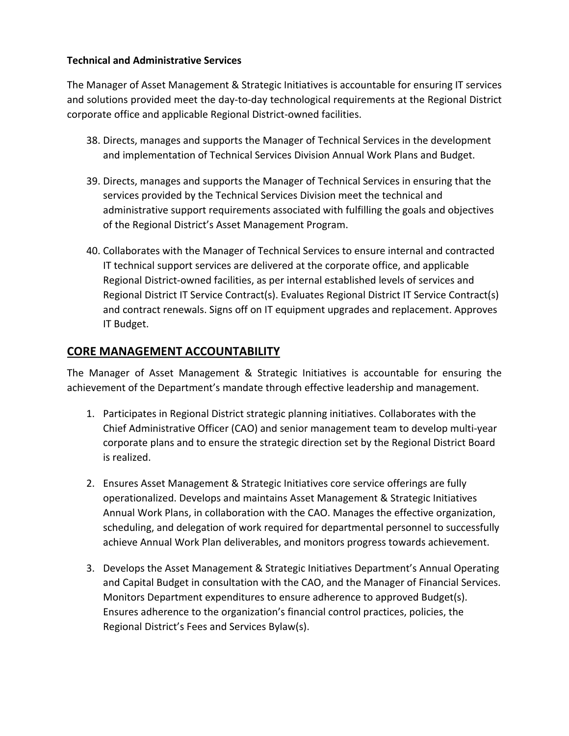#### **Technical and Administrative Services**

The Manager of Asset Management & Strategic Initiatives is accountable for ensuring IT services and solutions provided meet the day-to-day technological requirements at the Regional District corporate office and applicable Regional District-owned facilities.

- 38. Directs, manages and supports the Manager of Technical Services in the development and implementation of Technical Services Division Annual Work Plans and Budget.
- 39. Directs, manages and supports the Manager of Technical Services in ensuring that the services provided by the Technical Services Division meet the technical and administrative support requirements associated with fulfilling the goals and objectives of the Regional District's Asset Management Program.
- 40. Collaborates with the Manager of Technical Services to ensure internal and contracted IT technical support services are delivered at the corporate office, and applicable Regional District-owned facilities, as per internal established levels of services and Regional District IT Service Contract(s). Evaluates Regional District IT Service Contract(s) and contract renewals. Signs off on IT equipment upgrades and replacement. Approves IT Budget.

# **CORE MANAGEMENT ACCOUNTABILITY**

The Manager of Asset Management & Strategic Initiatives is accountable for ensuring the achievement of the Department's mandate through effective leadership and management.

- 1. Participates in Regional District strategic planning initiatives. Collaborates with the Chief Administrative Officer (CAO) and senior management team to develop multi-year corporate plans and to ensure the strategic direction set by the Regional District Board is realized.
- 2. Ensures Asset Management & Strategic Initiatives core service offerings are fully operationalized. Develops and maintains Asset Management & Strategic Initiatives Annual Work Plans, in collaboration with the CAO. Manages the effective organization, scheduling, and delegation of work required for departmental personnel to successfully achieve Annual Work Plan deliverables, and monitors progress towards achievement.
- 3. Develops the Asset Management & Strategic Initiatives Department's Annual Operating and Capital Budget in consultation with the CAO, and the Manager of Financial Services. Monitors Department expenditures to ensure adherence to approved Budget(s). Ensures adherence to the organization's financial control practices, policies, the Regional District's Fees and Services Bylaw(s).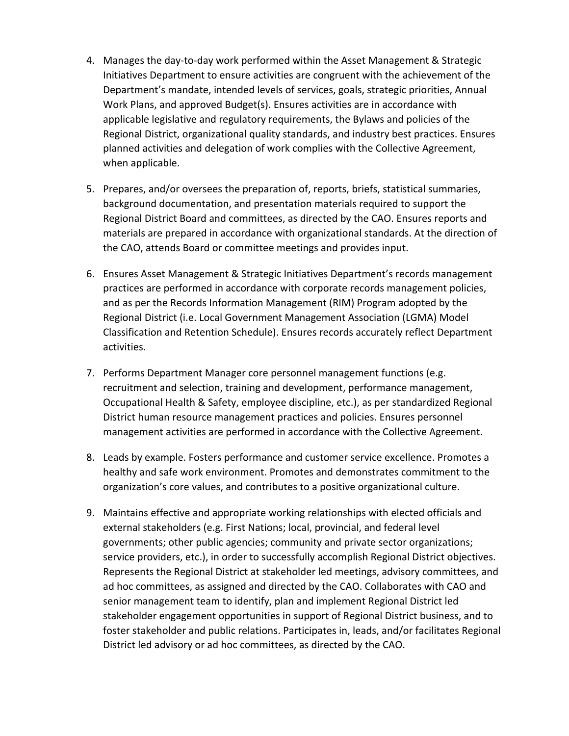- 4. Manages the day-to-day work performed within the Asset Management & Strategic Initiatives Department to ensure activities are congruent with the achievement of the Department's mandate, intended levels of services, goals, strategic priorities, Annual Work Plans, and approved Budget(s). Ensures activities are in accordance with applicable legislative and regulatory requirements, the Bylaws and policies of the Regional District, organizational quality standards, and industry best practices. Ensures planned activities and delegation of work complies with the Collective Agreement, when applicable.
- 5. Prepares, and/or oversees the preparation of, reports, briefs, statistical summaries, background documentation, and presentation materials required to support the Regional District Board and committees, as directed by the CAO. Ensures reports and materials are prepared in accordance with organizational standards. At the direction of the CAO, attends Board or committee meetings and provides input.
- 6. Ensures Asset Management & Strategic Initiatives Department's records management practices are performed in accordance with corporate records management policies, and as per the Records Information Management (RIM) Program adopted by the Regional District (i.e. Local Government Management Association (LGMA) Model Classification and Retention Schedule). Ensures records accurately reflect Department activities.
- 7. Performs Department Manager core personnel management functions (e.g. recruitment and selection, training and development, performance management, Occupational Health & Safety, employee discipline, etc.), as per standardized Regional District human resource management practices and policies. Ensures personnel management activities are performed in accordance with the Collective Agreement.
- 8. Leads by example. Fosters performance and customer service excellence. Promotes a healthy and safe work environment. Promotes and demonstrates commitment to the organization's core values, and contributes to a positive organizational culture.
- 9. Maintains effective and appropriate working relationships with elected officials and external stakeholders (e.g. First Nations; local, provincial, and federal level governments; other public agencies; community and private sector organizations; service providers, etc.), in order to successfully accomplish Regional District objectives. Represents the Regional District at stakeholder led meetings, advisory committees, and ad hoc committees, as assigned and directed by the CAO. Collaborates with CAO and senior management team to identify, plan and implement Regional District led stakeholder engagement opportunities in support of Regional District business, and to foster stakeholder and public relations. Participates in, leads, and/or facilitates Regional District led advisory or ad hoc committees, as directed by the CAO.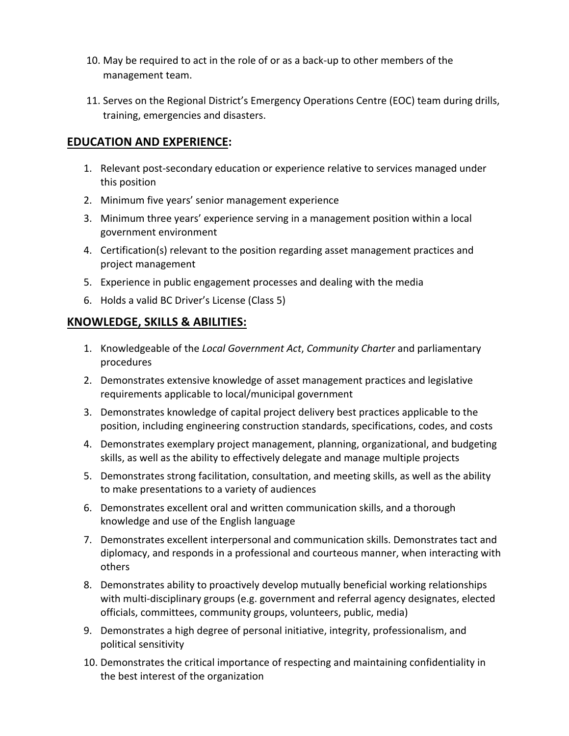- 10. May be required to act in the role of or as a back-up to other members of the management team.
- 11. Serves on the Regional District's Emergency Operations Centre (EOC) team during drills, training, emergencies and disasters.

## **EDUCATION AND EXPERIENCE:**

- 1. Relevant post-secondary education or experience relative to services managed under this position
- 2. Minimum five years' senior management experience
- 3. Minimum three years' experience serving in a management position within a local government environment
- 4. Certification(s) relevant to the position regarding asset management practices and project management
- 5. Experience in public engagement processes and dealing with the media
- 6. Holds a valid BC Driver's License (Class 5)

### **KNOWLEDGE, SKILLS & ABILITIES:**

- 1. Knowledgeable of the *Local Government Act*, *Community Charter* and parliamentary procedures
- 2. Demonstrates extensive knowledge of asset management practices and legislative requirements applicable to local/municipal government
- 3. Demonstrates knowledge of capital project delivery best practices applicable to the position, including engineering construction standards, specifications, codes, and costs
- 4. Demonstrates exemplary project management, planning, organizational, and budgeting skills, as well as the ability to effectively delegate and manage multiple projects
- 5. Demonstrates strong facilitation, consultation, and meeting skills, as well as the ability to make presentations to a variety of audiences
- 6. Demonstrates excellent oral and written communication skills, and a thorough knowledge and use of the English language
- 7. Demonstrates excellent interpersonal and communication skills. Demonstrates tact and diplomacy, and responds in a professional and courteous manner, when interacting with others
- 8. Demonstrates ability to proactively develop mutually beneficial working relationships with multi-disciplinary groups (e.g. government and referral agency designates, elected officials, committees, community groups, volunteers, public, media)
- 9. Demonstrates a high degree of personal initiative, integrity, professionalism, and political sensitivity
- 10. Demonstrates the critical importance of respecting and maintaining confidentiality in the best interest of the organization